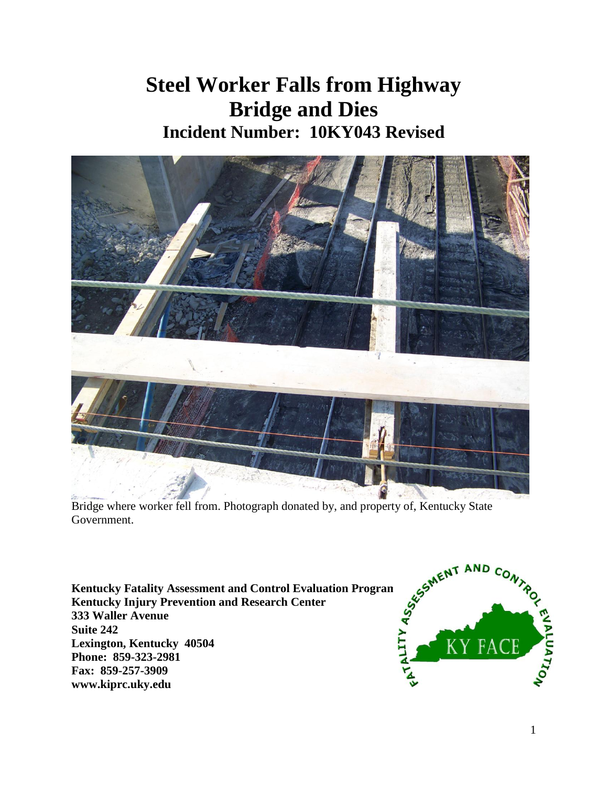# **Example 8 Bridge and Dies<br>
<b>Incident Number: 10KY043 Revised Steel Worker Falls from Highway Bridge and Dies**



 Bridge where worker fell from. Photograph donated by, and property of, Kentucky State Government.

**Kentucky Injury Prevention and Research Center 333 Waller Avenue Suite 242**  Lexington, Kentucky 40504<br>Phone: 859-323-2981<br>Fax: 859-257-3909 Phone: 859-323-2981 **Kentucky Fatality Assessment and Control Evaluation Program www.kiprc.uky.edu** 

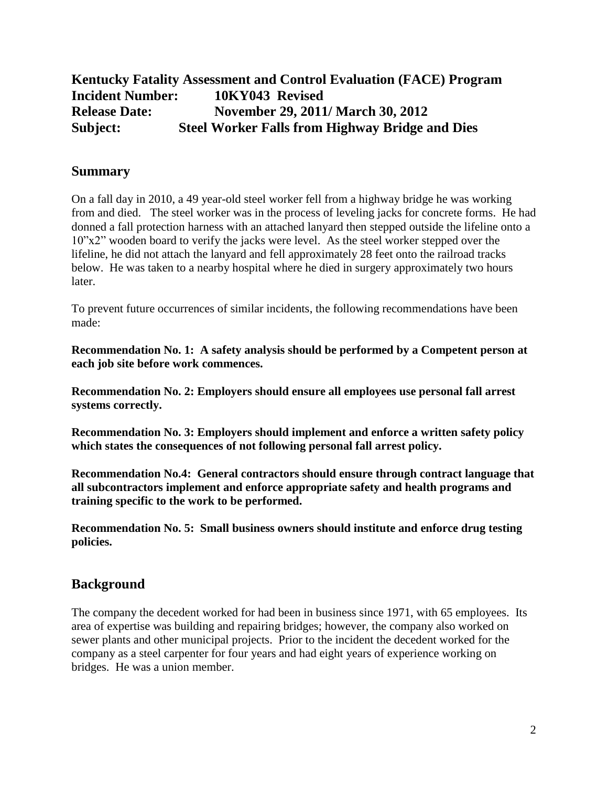#### **Incident Number: Release Date: Subject: Kentucky Fatality Assessment and Control Evaluation (FACE) Program 10KY043 Revised Release Date: November 29, 2011/ March 30, 2012 Steel Worker Falls from Highway Bridge and Dies**

## **Summary**

 On a fall day in 2010, a 49 year-old steel worker fell from a highway bridge he was working from and died. The steel worker was in the process of leveling jacks for concrete forms. He had lifeline, he did not attach the lanyard and fell approximately 28 feet onto the railroad tracks donned a fall protection harness with an attached lanyard then stepped outside the lifeline onto a 10"x2" wooden board to verify the jacks were level. As the steel worker stepped over the below. He was taken to a nearby hospital where he died in surgery approximately two hours later.

To prevent future occurrences of similar incidents, the following recommendations have been made:

**Recommendation No. 1: A safety analysis should be performed by a Competent person at each job site before work commences.** 

**Recommendation No. 2: Employers should ensure all employees use personal fall arrest systems correctly.** 

**Recommendation No. 3: Employers should implement and enforce a written safety policy which states the consequences of not following personal fall arrest policy.** 

**Recommendation No.4: General contractors should ensure through contract language that all subcontractors implement and enforce appropriate safety and health programs and training specific to the work to be performed.** 

**Recommendation No. 5: Small business owners should institute and enforce drug testing policies.** 

## **Background**

 sewer plants and other municipal projects. Prior to the incident the decedent worked for the The company the decedent worked for had been in business since 1971, with 65 employees. Its area of expertise was building and repairing bridges; however, the company also worked on company as a steel carpenter for four years and had eight years of experience working on bridges. He was a union member.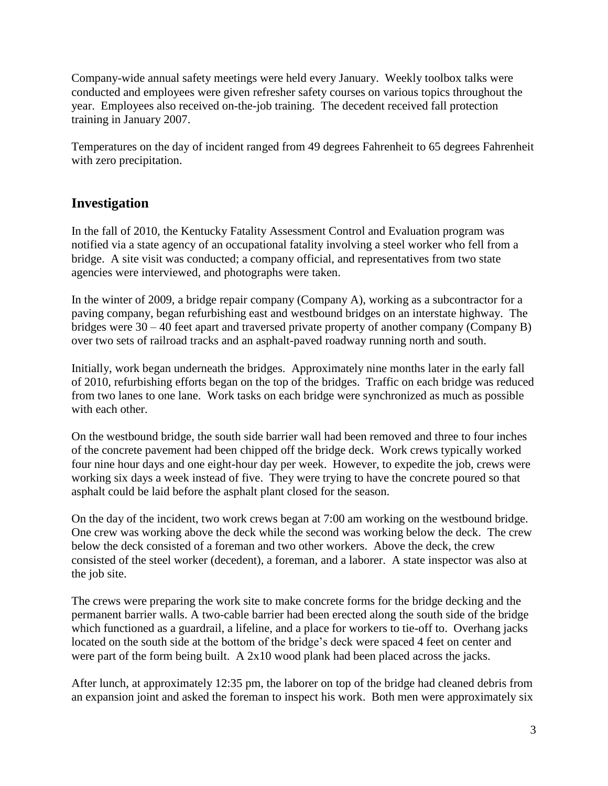Company-wide annual safety meetings were held every January. Weekly toolbox talks were year. Employees also received on-the-job training. The decedent received fall protection training in January 2007. conducted and employees were given refresher safety courses on various topics throughout the

Temperatures on the day of incident ranged from 49 degrees Fahrenheit to 65 degrees Fahrenheit with zero precipitation.

## **Investigation**

 notified via a state agency of an occupational fatality involving a steel worker who fell from a agencies were interviewed, and photographs were taken. In the fall of 2010, the Kentucky Fatality Assessment Control and Evaluation program was bridge. A site visit was conducted; a company official, and representatives from two state

 In the winter of 2009, a bridge repair company (Company A), working as a subcontractor for a paving company, began refurbishing east and westbound bridges on an interstate highway. The bridges were 30 – 40 feet apart and traversed private property of another company (Company B) over two sets of railroad tracks and an asphalt-paved roadway running north and south.

 Initially, work began underneath the bridges. Approximately nine months later in the early fall of 2010, refurbishing efforts began on the top of the bridges. Traffic on each bridge was reduced from two lanes to one lane. Work tasks on each bridge were synchronized as much as possible with each other.

 of the concrete pavement had been chipped off the bridge deck. Work crews typically worked working six days a week instead of five. They were trying to have the concrete poured so that On the westbound bridge, the south side barrier wall had been removed and three to four inches four nine hour days and one eight-hour day per week. However, to expedite the job, crews were asphalt could be laid before the asphalt plant closed for the season.

 One crew was working above the deck while the second was working below the deck. The crew consisted of the steel worker (decedent), a foreman, and a laborer. A state inspector was also at On the day of the incident, two work crews began at 7:00 am working on the westbound bridge. below the deck consisted of a foreman and two other workers. Above the deck, the crew the job site.

 which functioned as a guardrail, a lifeline, and a place for workers to tie-off to. Overhang jacks The crews were preparing the work site to make concrete forms for the bridge decking and the permanent barrier walls. A two-cable barrier had been erected along the south side of the bridge located on the south side at the bottom of the bridge's deck were spaced 4 feet on center and were part of the form being built. A 2x10 wood plank had been placed across the jacks.

 an expansion joint and asked the foreman to inspect his work. Both men were approximately six After lunch, at approximately 12:35 pm, the laborer on top of the bridge had cleaned debris from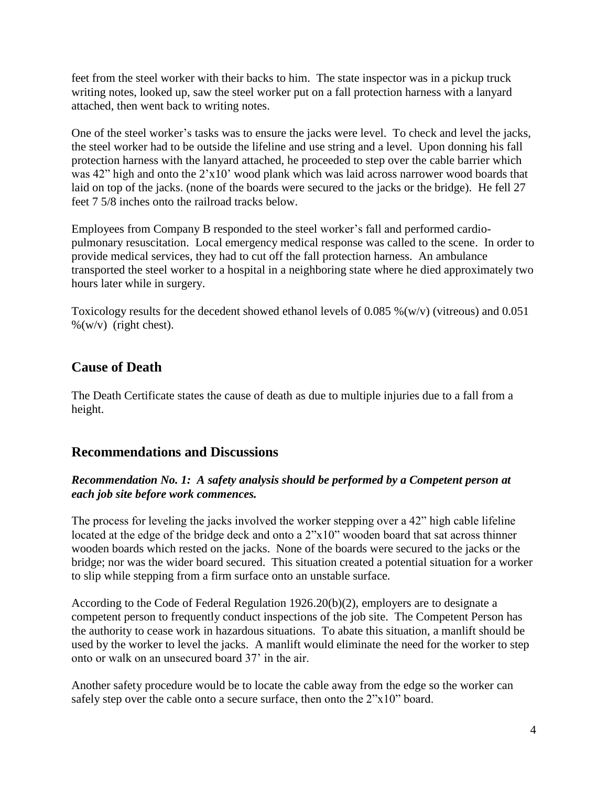feet from the steel worker with their backs to him. The state inspector was in a pickup truck attached, then went back to writing notes. writing notes, looked up, saw the steel worker put on a fall protection harness with a lanyard

attached, then went back to writing notes.<br>One of the steel worker's tasks was to ensure the jacks were level. To check and level the jacks, the steel worker had to be outside the lifeline and use string and a level. Upon donning his fall was 42" high and onto the 2'x10' wood plank which was laid across narrower wood boards that laid on top of the jacks. (none of the boards were secured to the jacks or the bridge). He fell 27 protection harness with the lanyard attached, he proceeded to step over the cable barrier which feet 7 5/8 inches onto the railroad tracks below.

 Employees from Company B responded to the steel worker's fall and performed cardio- pulmonary resuscitation. Local emergency medical response was called to the scene. In order to provide medical services, they had to cut off the fall protection harness. An ambulance transported the steel worker to a hospital in a neighboring state where he died approximately two hours later while in surgery.

 $\%$ (w/v) (right chest). Toxicology results for the decedent showed ethanol levels of  $0.085\%$  (w/v) (vitreous) and  $0.051$ 

## **Cause of Death**

The Death Certificate states the cause of death as due to multiple injuries due to a fall from a height.

## **Recommendations and Discussions**

### *Recommendation No. 1: A safety analysis should be performed by a Competent person at each job site before work commences.*

The process for leveling the jacks involved the worker stepping over a 42" high cable lifeline located at the edge of the bridge deck and onto a 2"x10" wooden board that sat across thinner wooden boards which rested on the jacks. None of the boards were secured to the jacks or the bridge; nor was the wider board secured. This situation created a potential situation for a worker to slip while stepping from a firm surface onto an unstable surface.

According to the Code of Federal Regulation 1926.20(b)(2), employers are to designate a competent person to frequently conduct inspections of the job site. The Competent Person has the authority to cease work in hazardous situations. To abate this situation, a manlift should be used by the worker to level the jacks. A manlift would eliminate the need for the worker to step onto or walk on an unsecured board 37' in the air.

 Another safety procedure would be to locate the cable away from the edge so the worker can safely step over the cable onto a secure surface, then onto the 2"x10" board.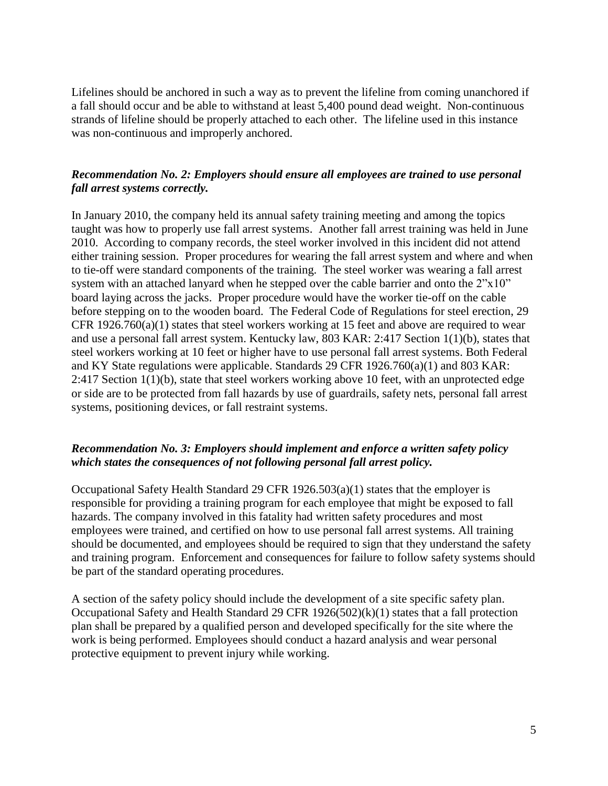was non-continuous and improperly anchored. Lifelines should be anchored in such a way as to prevent the lifeline from coming unanchored if a fall should occur and be able to withstand at least 5,400 pound dead weight. Non-continuous strands of lifeline should be properly attached to each other. The lifeline used in this instance

### *Recommendation No. 2: Employers should ensure all employees are trained to use personal fall arrest systems correctly.*

 2010. According to company records, the steel worker involved in this incident did not attend either training session. Proper procedures for wearing the fall arrest system and where and when system with an attached lanyard when he stepped over the cable barrier and onto the  $2"x10"$  before stepping on to the wooden board. The Federal Code of Regulations for steel erection, 29 In January 2010, the company held its annual safety training meeting and among the topics taught was how to properly use fall arrest systems. Another fall arrest training was held in June to tie-off were standard components of the training. The steel worker was wearing a fall arrest board laying across the jacks. Proper procedure would have the worker tie-off on the cable CFR  $1926.760(a)(1)$  states that steel workers working at 15 feet and above are required to wear and use a personal fall arrest system. Kentucky law, 803 KAR: 2:417 Section 1(1)(b), states that steel workers working at 10 feet or higher have to use personal fall arrest systems. Both Federal and KY State regulations were applicable. Standards 29 CFR 1926.760(a)(1) and 803 KAR: 2:417 Section 1(1)(b), state that steel workers working above 10 feet, with an unprotected edge or side are to be protected from fall hazards by use of guardrails, safety nets, personal fall arrest systems, positioning devices, or fall restraint systems.

#### *which states the consequences of not following personal fall arrest policy. Recommendation No. 3: Employers should implement and enforce a written safety policy*

 hazards. The company involved in this fatality had written safety procedures and most employees were trained, and certified on how to use personal fall arrest systems. All training should be documented, and employees should be required to sign that they understand the safety and training program. Enforcement and consequences for failure to follow safety systems should Occupational Safety Health Standard 29 CFR  $1926.503(a)(1)$  states that the employer is responsible for providing a training program for each employee that might be exposed to fall be part of the standard operating procedures.

A section of the safety policy should include the development of a site specific safety plan. Occupational Safety and Health Standard 29 CFR 1926(502)(k)(1) states that a fall protection plan shall be prepared by a qualified person and developed specifically for the site where the work is being performed. Employees should conduct a hazard analysis and wear personal protective equipment to prevent injury while working.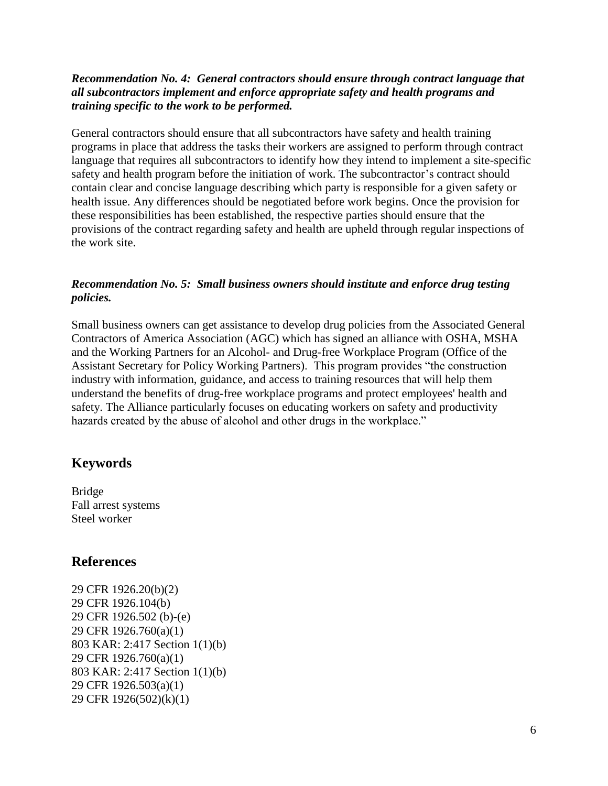#### *all subcontractors implement and enforce appropriate safety and health programs and Recommendation No. 4: General contractors should ensure through contract language that training specific to the work to be performed.*

General contractors should ensure that all subcontractors have safety and health training programs in place that address the tasks their workers are assigned to perform through contract language that requires all subcontractors to identify how they intend to implement a site-specific safety and health program before the initiation of work. The subcontractor's contract should contain clear and concise language describing which party is responsible for a given safety or health issue. Any differences should be negotiated before work begins. Once the provision for these responsibilities has been established, the respective parties should ensure that the provisions of the contract regarding safety and health are upheld through regular inspections of the work site.

#### *Recommendation No. 5: Small business owners should institute and enforce drug testing policies.*

Small business owners can get assistance to develop drug policies from the Associated General Contractors of America Association (AGC) which has signed an alliance with OSHA, MSHA and the Working Partners for an Alcohol- and Drug-free Workplace Program (Office of the Assistant Secretary for Policy Working Partners). This program provides "the construction industry with information, guidance, and access to training resources that will help them understand the benefits of drug-free workplace programs and protect employees' health and safety. The Alliance particularly focuses on educating workers on safety and productivity hazards created by the abuse of alcohol and other drugs in the workplace."

## **Keywords**

Bridge Fall arrest systems Steel worker

## **References**

29 CFR 1926.104(b) 29 CFR 1926.20(b)(2) 29 CFR 1926.502 (b)-(e) 29 CFR 1926.760(a)(1) 803 KAR: 2:417 Section 1(1)(b) 29 CFR 1926.760(a)(1) 803 KAR: 2:417 Section 1(1)(b) 29 CFR 1926.503(a)(1) 29 CFR 1926(502)(k)(1)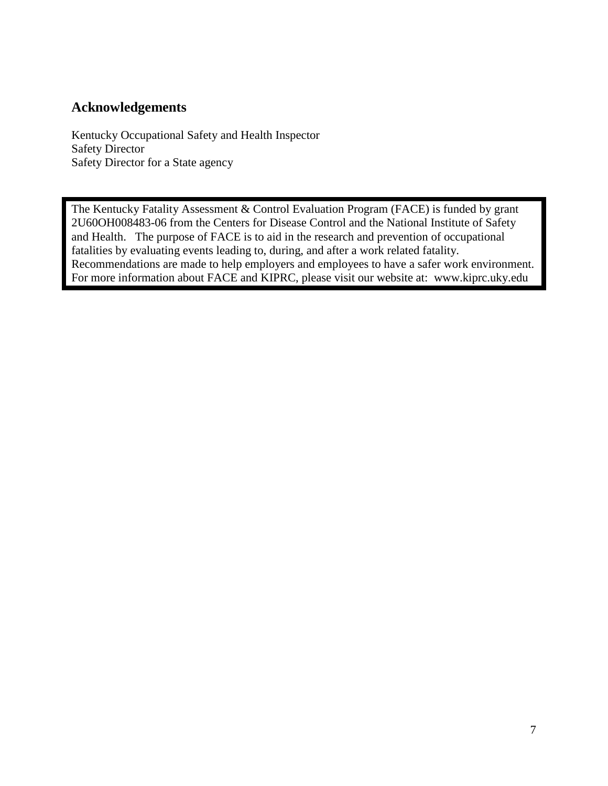## **Acknowledgements**

 Safety Director Safety Director for a State agency Kentucky Occupational Safety and Health Inspector

 The Kentucky Fatality Assessment & Control Evaluation Program (FACE) is funded by grant 2U60OH008483-06 from the Centers for Disease Control and the National Institute of Safety and Health. The purpose of FACE is to aid in the research and prevention of occupational fatalities by evaluating events leading to, during, and after a work related fatality. Recommendations are made to help employers and employees to have a safer work environment. For more information about FACE and KIPRC, please visit our website at: www.kiprc.uky.edu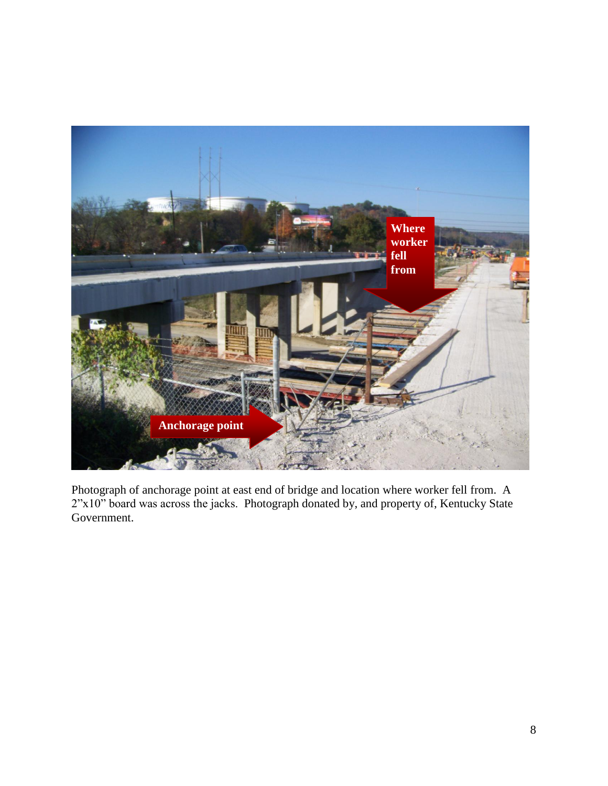

Photograph of anchorage point at east end of bridge and location where worker fell from. A 2"x10" board was across the jacks. Photograph donated by, and property of, Kentucky State Government.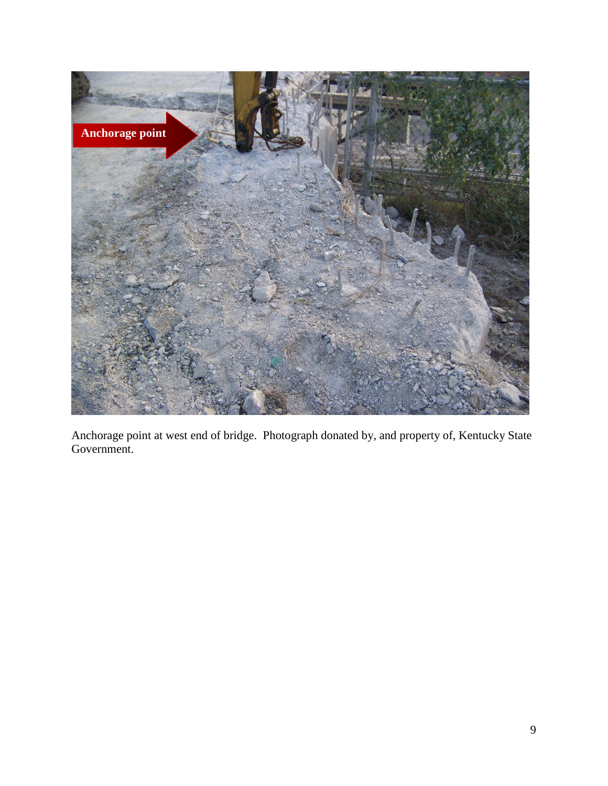

Anchorage point at west end of bridge. Photograph donated by, and property of, Kentucky State Government.